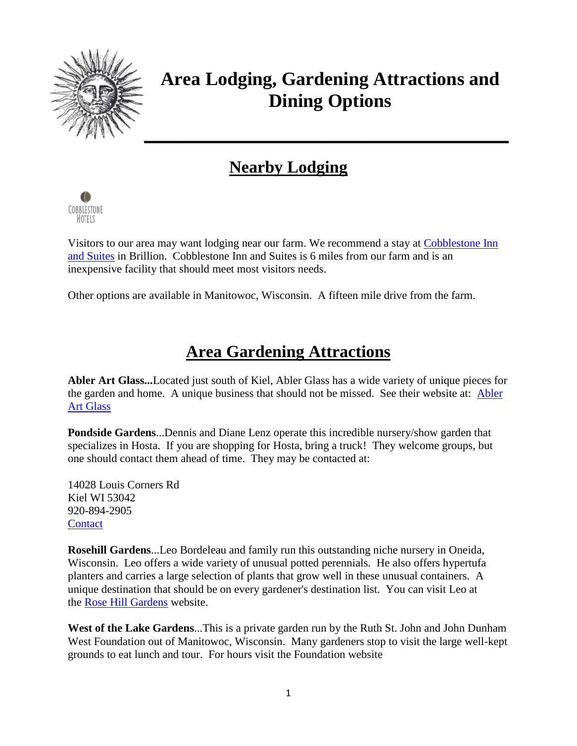

## **Area Lodging, Gardening Attractions and Dining Options**

## **Nearby Lodging**



Visitors to our area may want lodging near our farm. We recommend a stay at [Cobblestone Inn](http://www.staycobblestone.com/wi/brillion/)  [and Suites](http://www.staycobblestone.com/wi/brillion/) in Brillion. Cobblestone Inn and Suites is 6 miles from our farm and is an inexpensive facility that should meet most visitors needs.

Other options are available in Manitowoc, Wisconsin. A fifteen mile drive from the farm.

## **Area Gardening Attractions**

**Abler Art Glass...**Located just south of Kiel, Abler Glass has a wide variety of unique pieces for the garden and home. A unique business that should not be missed. See their website at: [Abler](http://www.ablerartglass.com/)  [Art Glass](http://www.ablerartglass.com/)

**Pondside Gardens**...Dennis and Diane Lenz operate this incredible nursery/show garden that specializes in Hosta. If you are shopping for Hosta, bring a truck! They welcome groups, but one should contact them ahead of time. They may be contacted at:

14028 Louis Corners Rd Kiel WI 53042 920-894-2905 **[Contact](mailto:lenz@juno.com?subject=From%20Solaris%20Farms)** 

**Rosehill Gardens**...Leo Bordeleau and family run this outstanding niche nursery in Oneida, Wisconsin. Leo offers a wide variety of unusual potted perennials. He also offers hypertufa planters and carries a large selection of plants that grow well in these unusual containers. A unique destination that should be on every gardener's destination list. You can visit Leo at the [Rose Hill Gardens](http://www.rhgardens.com/) website.

**West of the Lake Gardens**...This is a private garden run by the Ruth St. John and John Dunham West Foundation out of Manitowoc, Wisconsin. Many gardeners stop to visit the large well-kept grounds to eat lunch and tour. For hours visit the Foundation website